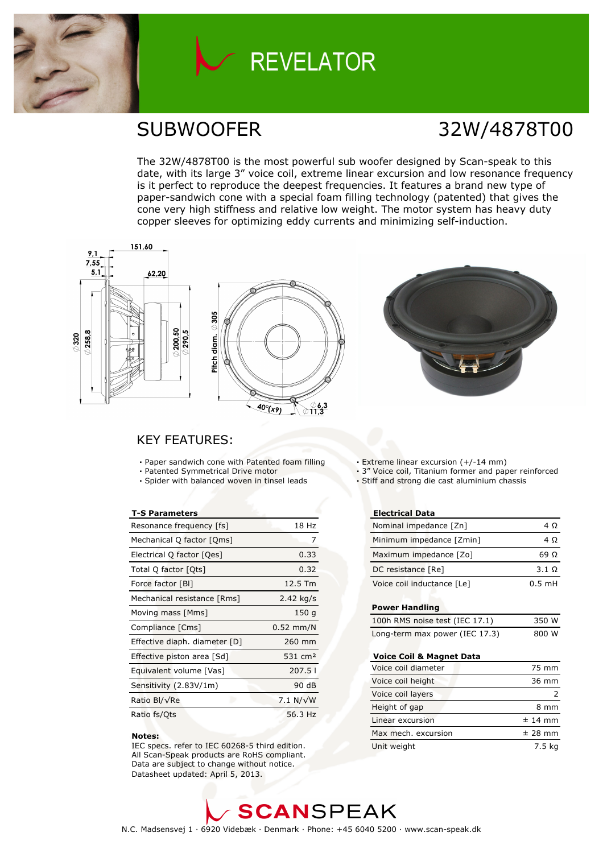

# **REVELATOR**

## SUBWOOFER 32W/4878T00

The 32W/4878T00 is the most powerful sub woofer designed by Scan-speak to this date, with its large 3" voice coil, extreme linear excursion and low resonance frequency is it perfect to reproduce the deepest frequencies. It features a brand new type of paper-sandwich cone with a special foam filling technology (patented) that gives the cone very high stiffness and relative low weight. The motor system has heavy duty copper sleeves for optimizing eddy currents and minimizing self-induction.







### KEY FEATURES:

- Paper sandwich cone with Patented foam filling
- Patented Symmetrical Drive motor
- Spider with balanced woven in tinsel leads

### T-S Parameters

| Resonance frequency [fs]      | 18 Hz              |
|-------------------------------|--------------------|
| Mechanical Q factor [Qms]     | 7                  |
| Electrical Q factor [Qes]     | 0.33               |
| Total Q factor [Qts]          | 0.32               |
| Force factor [BI]             | 12.5 Tm            |
| Mechanical resistance [Rms]   | 2.42 kg/s          |
| Moving mass [Mms]             | 150 g              |
| Compliance [Cms]              | $0.52$ mm/N        |
| Effective diaph. diameter [D] | 260 mm             |
| Effective piston area [Sd]    | $531 \text{ cm}^2$ |
| Equivalent volume [Vas]       | 207.51             |
| Sensitivity (2.83V/1m)        | 90 dB              |
| Ratio Bl/√Re                  | 7.1 N/ $\sqrt{W}$  |
| Ratio fs/Ots                  | 56.3 Hz            |

#### Notes:

 IEC specs. refer to IEC 60268-5 third edition. All Scan-Speak products are RoHS compliant. Data are subject to change without notice. Datasheet updated: April 5, 2013.

Extreme linear excursion (+/-14 mm)

- 3" Voice coil, Titanium former and paper reinforced
- Stiff and strong die cast aluminium chassis

### Electrical Data

| Nominal impedance [Zn]     | 4 O          |
|----------------------------|--------------|
| Minimum impedance [Zmin]   | 4 O          |
| Maximum impedance [Zo]     | 69 O         |
| DC resistance [Re]         | $3.1 \Omega$ |
| Voice coil inductance [Le] | $0.5$ mH     |

#### Power Handling

| 100h RMS noise test (IEC 17.1) | 350 W |
|--------------------------------|-------|
| Long-term max power (IEC 17.3) | 800 W |

#### Voice Coil & Magnet Data

| Voice coil diameter | 75 mm     |
|---------------------|-----------|
| Voice coil height   | 36 mm     |
| Voice coil layers   |           |
| Height of gap       | 8 mm      |
| Linear excursion    | $± 14$ mm |
| Max mech, excursion | $±$ 28 mm |
| Unit weight         | 7.5 kg    |

**SCANSPEAK** N.C. Madsensvej 1 · 6920 Videbæk · Denmark · Phone: +45 6040 5200 · www.scan-speak.dk